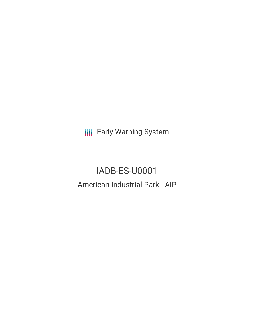**III** Early Warning System

IADB-ES-U0001 American Industrial Park - AIP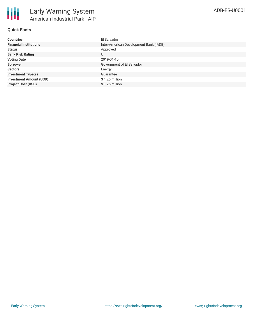| <b>Countries</b>               | El Salvador                            |
|--------------------------------|----------------------------------------|
| <b>Financial Institutions</b>  | Inter-American Development Bank (IADB) |
| <b>Status</b>                  | Approved                               |
| <b>Bank Risk Rating</b>        | U                                      |
| <b>Voting Date</b>             | 2019-01-15                             |
| <b>Borrower</b>                | Government of El Salvador              |
| <b>Sectors</b>                 | Energy                                 |
| <b>Investment Type(s)</b>      | Guarantee                              |
| <b>Investment Amount (USD)</b> | $$1.25$ million                        |
| <b>Project Cost (USD)</b>      | $$1.25$ million                        |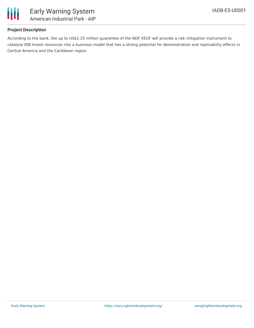

## **Project Description**

According to the bank, the up to US\$1.25 million guarantee of the NDF EEGF will provide a risk mitigation instrument to catalyze IDB Invest resources into a business model that has a strong potential for demonstration and replicability effects in Central America and the Caribbean region.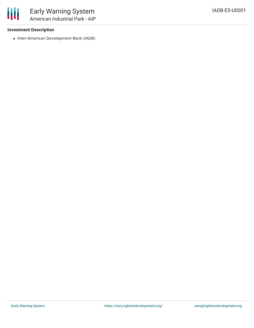

## **Investment Description**

• Inter-American Development Bank (IADB)